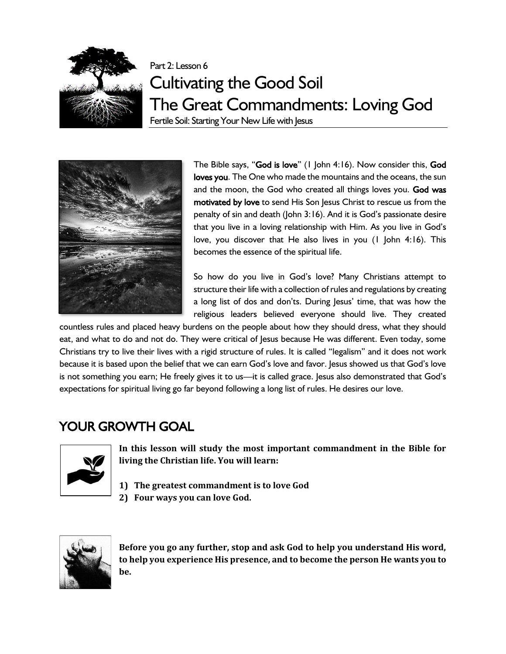

# Part 2: Lesson 6 Cultivating the Good Soil The Great Commandments: Loving God

Fertile Soil: Starting Your New Life with Jesus



The Bible says, "God is love" (1 John 4:16). Now consider this, God loves you. The One who made the mountains and the oceans, the sun and the moon, the God who created all things loves you. God was motivated by love to send His Son Jesus Christ to rescue us from the penalty of sin and death (John 3:16). And it is God's passionate desire that you live in a loving relationship with Him. As you live in God's love, you discover that He also lives in you (1 John 4:16). This becomes the essence of the spiritual life.

So how do you live in God's love? Many Christians attempt to structure their life with a collection of rules and regulations by creating a long list of dos and don'ts. During Jesus' time, that was how the religious leaders believed everyone should live. They created

countless rules and placed heavy burdens on the people about how they should dress, what they should eat, and what to do and not do. They were critical of Jesus because He was different. Even today, some Christians try to live their lives with a rigid structure of rules. It is called "legalism" and it does not work because it is based upon the belief that we can earn God's love and favor. Jesus showed us that God's love is not something you earn; He freely gives it to us—it is called grace. Jesus also demonstrated that God's expectations for spiritual living go far beyond following a long list of rules. He desires our love.

# YOUR GROWTH GOAL



**In this lesson will study the most important commandment in the Bible for living the Christian life. You will learn:**

**1) The greatest commandment is to love God 2) Four ways you can love God.**



**Before you go any further, stop and ask God to help you understand His word, to help you experience His presence, and to become the person He wants you to be.**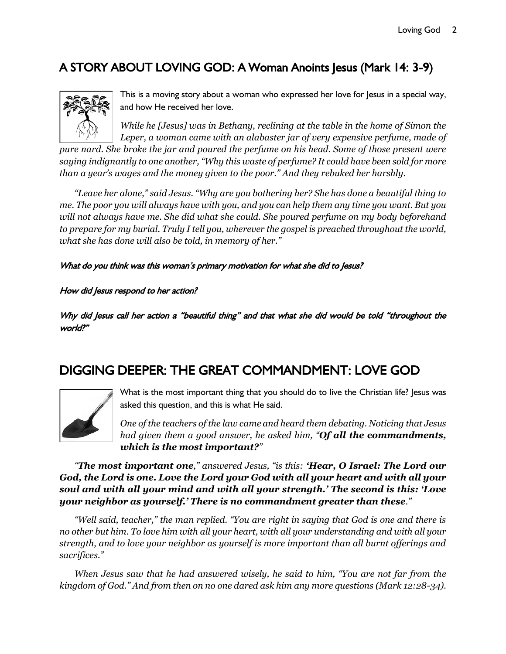# A STORY ABOUT LOVING GOD: A Woman Anoints Jesus (Mark 14: 3-9)



This is a moving story about a woman who expressed her love for Jesus in a special way, and how He received her love.

*While he [Jesus] was in Bethany, reclining at the table in the home of Simon the Leper, a woman came with an alabaster jar of very expensive perfume, made of* 

*pure nard. She broke the jar and poured the perfume on his head. Some of those present were saying indignantly to one another, "Why this waste of perfume? It could have been sold for more than a year's wages and the money given to the poor." And they rebuked her harshly.*

*"Leave her alone," said Jesus. "Why are you bothering her? She has done a beautiful thing to me. The poor you will always have with you, and you can help them any time you want. But you will not always have me. She did what she could. She poured perfume on my body beforehand to prepare for my burial. Truly I tell you, wherever the gospel is preached throughout the world, what she has done will also be told, in memory of her."*

#### What do you think was this woman's primary motivation for what she did to Jesus?

#### How did Jesus respond to her action?

Why did Jesus call her action a "beautiful thing" and that what she did would be told "throughout the world?"

# DIGGING DEEPER: THE GREAT COMMANDMENT: LOVE GOD



What is the most important thing that you should do to live the Christian life? Jesus was asked this question, and this is what He said.

*One of the teachers of the law came and heard them debating. Noticing that Jesus had given them a good answer, he asked him, "Of all the commandments, which is the most important?"* 

*"The most important one," answered Jesus, "is this: 'Hear, O Israel: The Lord our God, the Lord is one. Love the Lord your God with all your heart and with all your soul and with all your mind and with all your strength.' The second is this: 'Love your neighbor as yourself.' There is no commandment greater than these."* 

*"Well said, teacher," the man replied. "You are right in saying that God is one and there is no other but him. To love him with all your heart, with all your understanding and with all your strength, and to love your neighbor as yourself is more important than all burnt offerings and sacrifices."* 

*When Jesus saw that he had answered wisely, he said to him, "You are not far from the kingdom of God." And from then on no one dared ask him any more questions (Mark 12:28-34).*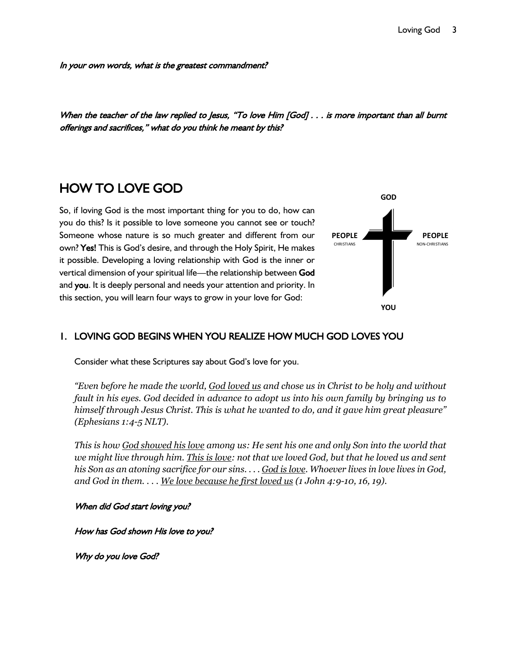In your own words, what is the greatest commandment?

When the teacher of the law replied to Jesus, "To love Him [God] . . . is more important than all burnt offerings and sacrifices," what do you think he meant by this?

# HOW TO LOVE GOD

So, if loving God is the most important thing for you to do, how can you do this? Is it possible to love someone you cannot see or touch? Someone whose nature is so much greater and different from our own? Yes! This is God's desire, and through the Holy Spirit, He makes it possible. Developing a loving relationship with God is the inner or vertical dimension of your spiritual life—the relationship between God and you. It is deeply personal and needs your attention and priority. In this section, you will learn four ways to grow in your love for God:



### 1. LOVING GOD BEGINS WHEN YOU REALIZE HOW MUCH GOD LOVES YOU

Consider what these Scriptures say about God's love for you.

*"Even before he made the world, God loved us and chose us in Christ to be holy and without fault in his eyes. God decided in advance to adopt us into his own family by bringing us to himself through Jesus Christ. This is what he wanted to do, and it gave him great pleasure" (Ephesians 1:4-5 NLT).*

*This is how God showed his love among us: He sent his one and only Son into the world that we might live through him. This is love: not that we loved God, but that he loved us and sent his Son as an atoning sacrifice for our sins. . . . God is love. Whoever lives in love lives in God, and God in them. . . . We love because he first loved us (1 John 4:9-10, 16, 19).*

When did God start loving you?

How has God shown His love to you?

Why do you love God?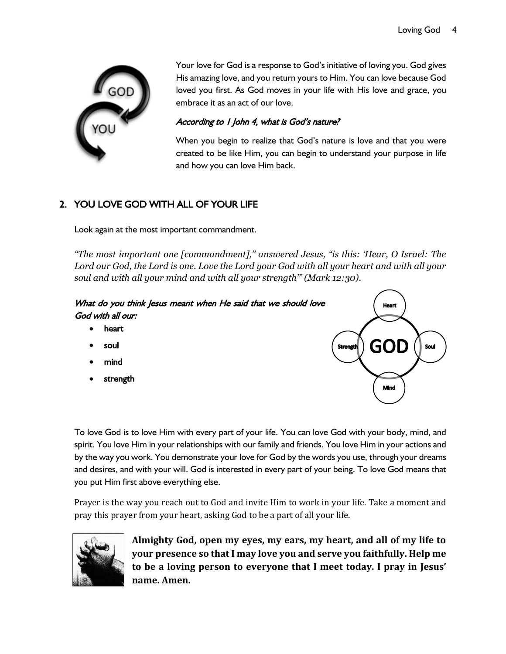

Your love for God is a response to God's initiative of loving you. God gives His amazing love, and you return yours to Him. You can love because God loved you first. As God moves in your life with His love and grace, you embrace it as an act of our love.

#### According to 1 John 4, what is God's nature?

When you begin to realize that God's nature is love and that you were created to be like Him, you can begin to understand your purpose in life and how you can love Him back.

### 2. YOU LOVE GOD WITH ALL OF YOUR LIFE

Look again at the most important commandment.

*"The most important one [commandment]," answered Jesus, "is this: 'Hear, O Israel: The Lord our God, the Lord is one. Love the Lord your God with all your heart and with all your soul and with all your mind and with all your strength'" (Mark 12:30).*

#### What do you think Jesus meant when He said that we should love God with all our:

- heart
- soul
- mind
- **strength**



To love God is to love Him with every part of your life. You can love God with your body, mind, and spirit. You love Him in your relationships with our family and friends. You love Him in your actions and by the way you work. You demonstrate your love for God by the words you use, through your dreams and desires, and with your will. God is interested in every part of your being. To love God means that you put Him first above everything else.

Prayer is the way you reach out to God and invite Him to work in your life. Take a moment and pray this prayer from your heart, asking God to be a part of all your life.



**Almighty God, open my eyes, my ears, my heart, and all of my life to your presence so that I may love you and serve you faithfully. Help me to be a loving person to everyone that I meet today. I pray in Jesus' name. Amen.**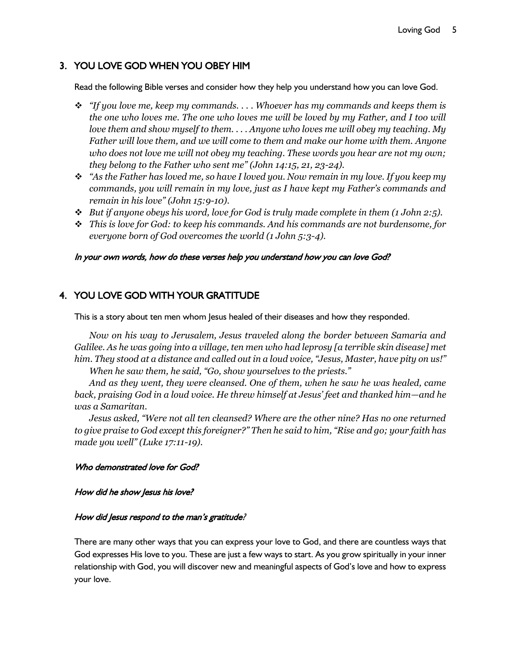### 3. YOU LOVE GOD WHEN YOU OBEY HIM

Read the following Bible verses and consider how they help you understand how you can love God.

- ❖ *"If you love me, keep my commands. . . . Whoever has my commands and keeps them is the one who loves me. The one who loves me will be loved by my Father, and I too will love them and show myself to them. . . . Anyone who loves me will obey my teaching. My Father will love them, and we will come to them and make our home with them. Anyone who does not love me will not obey my teaching. These words you hear are not my own; they belong to the Father who sent me" (John 14:15, 21, 23-24).*
- ❖ *"As the Father has loved me, so have I loved you. Now remain in my love. If you keep my commands, you will remain in my love, just as I have kept my Father's commands and remain in his love" (John 15:9-10).*
- ❖ *But if anyone obeys his word, love for God is truly made complete in them (1 John 2:5).*
- ❖ *This is love for God: to keep his commands. And his commands are not burdensome, for everyone born of God overcomes the world (1 John 5:3-4).*

#### In your own words, how do these verses help you understand how you can love God?

#### 4. YOU LOVE GOD WITH YOUR GRATITUDE

This is a story about ten men whom Jesus healed of their diseases and how they responded.

*Now on his way to Jerusalem, Jesus traveled along the border between Samaria and Galilee. As he was going into a village, ten men who had leprosy [a terrible skin disease] met him. They stood at a distance and called out in a loud voice, "Jesus, Master, have pity on us!" When he saw them, he said, "Go, show yourselves to the priests."* 

*And as they went, they were cleansed. One of them, when he saw he was healed, came back, praising God in a loud voice. He threw himself at Jesus' feet and thanked him—and he was a Samaritan.*

*Jesus asked, "Were not all ten cleansed? Where are the other nine? Has no one returned to give praise to God except this foreigner?" Then he said to him, "Rise and go; your faith has made you well" (Luke 17:11-19).*

#### Who demonstrated love for God?

#### How did he show Jesus his love?

#### How did Jesus respond to the man's gratitude?

There are many other ways that you can express your love to God, and there are countless ways that God expresses His love to you. These are just a few ways to start. As you grow spiritually in your inner relationship with God, you will discover new and meaningful aspects of God's love and how to express your love.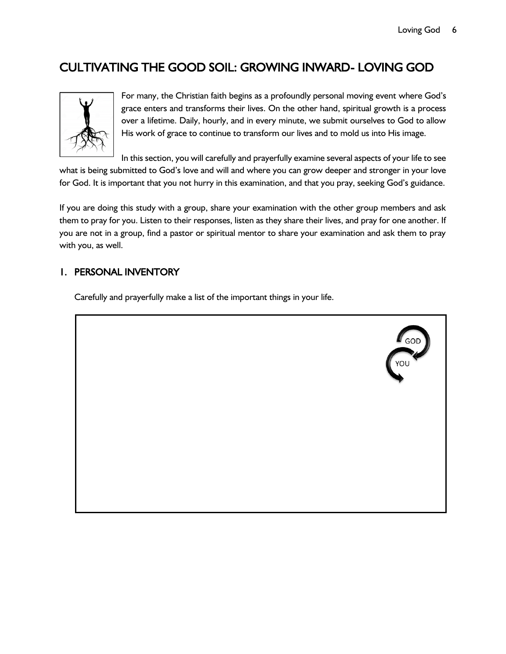## CULTIVATING THE GOOD SOIL: GROWING INWARD- LOVING GOD



For many, the Christian faith begins as a profoundly personal moving event where God's grace enters and transforms their lives. On the other hand, spiritual growth is a process over a lifetime. Daily, hourly, and in every minute, we submit ourselves to God to allow His work of grace to continue to transform our lives and to mold us into His image.

In this section, you will carefully and prayerfully examine several aspects of your life to see what is being submitted to God's love and will and where you can grow deeper and stronger in your love for God. It is important that you not hurry in this examination, and that you pray, seeking God's guidance.

If you are doing this study with a group, share your examination with the other group members and ask them to pray for you. Listen to their responses, listen as they share their lives, and pray for one another. If you are not in a group, find a pastor or spiritual mentor to share your examination and ask them to pray with you, as well.

#### 1. PERSONAL INVENTORY

Carefully and prayerfully make a list of the important things in your life.

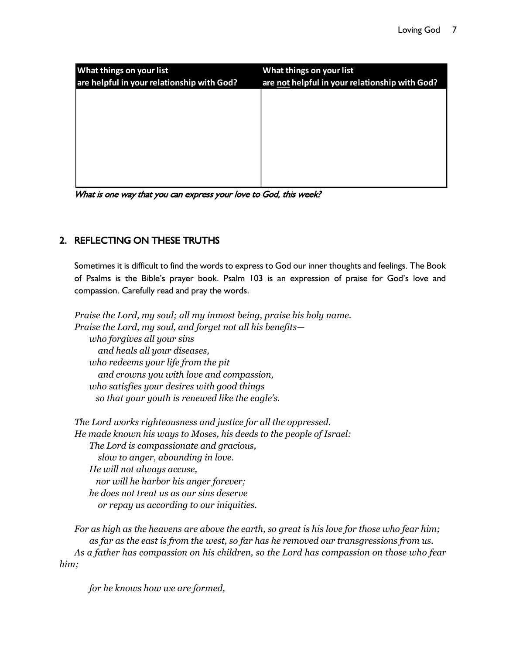| <b>What things on your list</b><br>are helpful in your relationship with God? | What things on your list<br>are not helpful in your relationship with God? |
|-------------------------------------------------------------------------------|----------------------------------------------------------------------------|
|                                                                               |                                                                            |
|                                                                               |                                                                            |
|                                                                               |                                                                            |
|                                                                               |                                                                            |

What is one way that you can express your love to God, this week?

### 2. REFLECTING ON THESE TRUTHS

Sometimes it is difficult to find the words to express to God our inner thoughts and feelings. The Book of Psalms is the Bible's prayer book. Psalm 103 is an expression of praise for God's love and compassion. Carefully read and pray the words.

*Praise the Lord, my soul; all my inmost being, praise his holy name. Praise the Lord, my soul, and forget not all his benefits who forgives all your sins and heals all your diseases, who redeems your life from the pit and crowns you with love and compassion, who satisfies your desires with good things so that your youth is renewed like the eagle's.*

*The Lord works righteousness and justice for all the oppressed. He made known his ways to Moses, his deeds to the people of Israel: The Lord is compassionate and gracious, slow to anger, abounding in love. He will not always accuse, nor will he harbor his anger forever; he does not treat us as our sins deserve or repay us according to our iniquities.*

*For as high as the heavens are above the earth, so great is his love for those who fear him; as far as the east is from the west, so far has he removed our transgressions from us. As a father has compassion on his children, so the Lord has compassion on those who fear him;*

*for he knows how we are formed,*